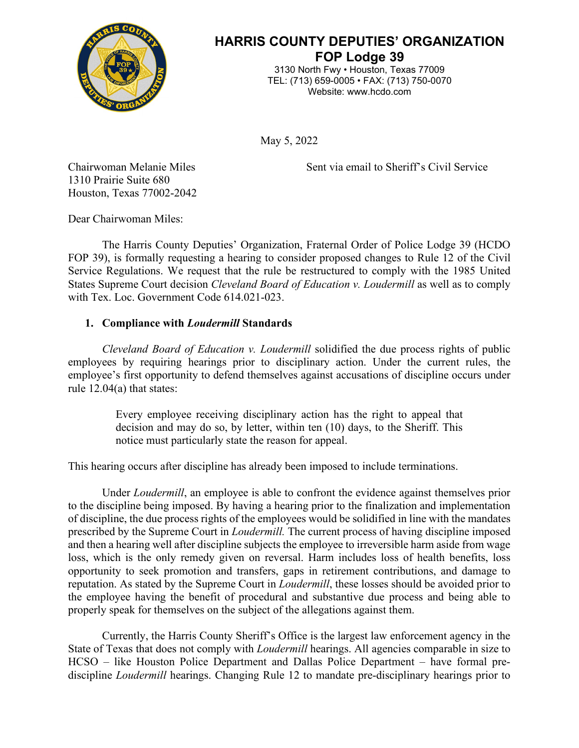

# **HARRIS COUNTY DEPUTIES' ORGANIZATION FOP Lodge 39**

3130 North Fwy • Houston, Texas 77009 TEL: (713) 659-0005 • FAX: (713) 750-0070 Website: www.hcdo.com

May 5, 2022

Chairwoman Melanie Miles Sent via email to Sheriff's Civil Service

1310 Prairie Suite 680 Houston, Texas 77002-2042

Dear Chairwoman Miles:

The Harris County Deputies' Organization, Fraternal Order of Police Lodge 39 (HCDO FOP 39), is formally requesting a hearing to consider proposed changes to Rule 12 of the Civil Service Regulations. We request that the rule be restructured to comply with the 1985 United States Supreme Court decision *Cleveland Board of Education v. Loudermill* as well as to comply with Tex. Loc. Government Code 614.021-023.

## **1. Compliance with** *Loudermill* **Standards**

*Cleveland Board of Education v. Loudermill* solidified the due process rights of public employees by requiring hearings prior to disciplinary action. Under the current rules, the employee's first opportunity to defend themselves against accusations of discipline occurs under rule 12.04(a) that states:

> Every employee receiving disciplinary action has the right to appeal that decision and may do so, by letter, within ten (10) days, to the Sheriff. This notice must particularly state the reason for appeal.

This hearing occurs after discipline has already been imposed to include terminations.

Under *Loudermill*, an employee is able to confront the evidence against themselves prior to the discipline being imposed. By having a hearing prior to the finalization and implementation of discipline, the due process rights of the employees would be solidified in line with the mandates prescribed by the Supreme Court in *Loudermill.* The current process of having discipline imposed and then a hearing well after discipline subjects the employee to irreversible harm aside from wage loss, which is the only remedy given on reversal. Harm includes loss of health benefits, loss opportunity to seek promotion and transfers, gaps in retirement contributions, and damage to reputation. As stated by the Supreme Court in *Loudermill*, these losses should be avoided prior to the employee having the benefit of procedural and substantive due process and being able to properly speak for themselves on the subject of the allegations against them.

Currently, the Harris County Sheriff's Office is the largest law enforcement agency in the State of Texas that does not comply with *Loudermill* hearings. All agencies comparable in size to HCSO – like Houston Police Department and Dallas Police Department – have formal prediscipline *Loudermill* hearings. Changing Rule 12 to mandate pre-disciplinary hearings prior to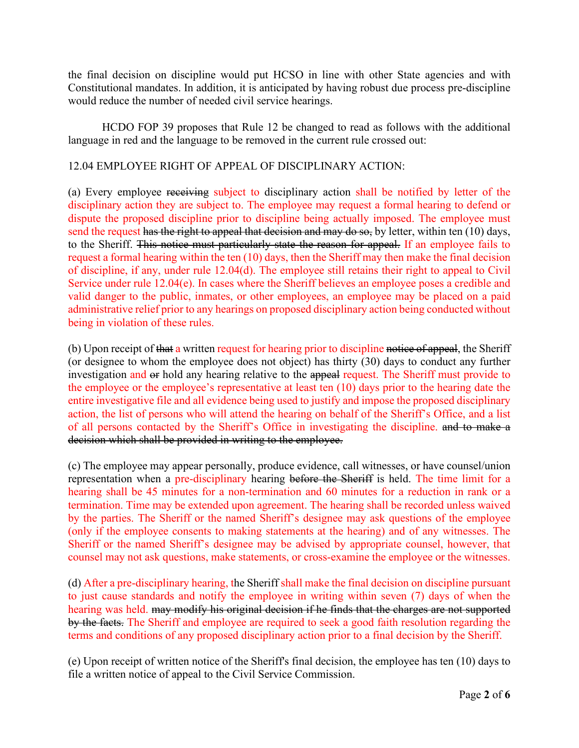the final decision on discipline would put HCSO in line with other State agencies and with Constitutional mandates. In addition, it is anticipated by having robust due process pre-discipline would reduce the number of needed civil service hearings.

HCDO FOP 39 proposes that Rule 12 be changed to read as follows with the additional language in red and the language to be removed in the current rule crossed out:

### 12.04 EMPLOYEE RIGHT OF APPEAL OF DISCIPLINARY ACTION:

(a) Every employee receiving subject to disciplinary action shall be notified by letter of the disciplinary action they are subject to. The employee may request a formal hearing to defend or dispute the proposed discipline prior to discipline being actually imposed. The employee must send the request has the right to appeal that decision and may do so, by letter, within ten (10) days, to the Sheriff. This notice must particularly state the reason for appeal. If an employee fails to request a formal hearing within the ten (10) days, then the Sheriff may then make the final decision of discipline, if any, under rule 12.04(d). The employee still retains their right to appeal to Civil Service under rule 12.04(e). In cases where the Sheriff believes an employee poses a credible and valid danger to the public, inmates, or other employees, an employee may be placed on a paid administrative relief prior to any hearings on proposed disciplinary action being conducted without being in violation of these rules.

(b) Upon receipt of that a written request for hearing prior to discipline notice of appeal, the Sheriff (or designee to whom the employee does not object) has thirty (30) days to conduct any further investigation and or hold any hearing relative to the appeal request. The Sheriff must provide to the employee or the employee's representative at least ten (10) days prior to the hearing date the entire investigative file and all evidence being used to justify and impose the proposed disciplinary action, the list of persons who will attend the hearing on behalf of the Sheriff's Office, and a list of all persons contacted by the Sheriff's Office in investigating the discipline. and to make a decision which shall be provided in writing to the employee.

(c) The employee may appear personally, produce evidence, call witnesses, or have counsel/union representation when a pre-disciplinary hearing before the Sheriff is held. The time limit for a hearing shall be 45 minutes for a non-termination and 60 minutes for a reduction in rank or a termination. Time may be extended upon agreement. The hearing shall be recorded unless waived by the parties. The Sheriff or the named Sheriff's designee may ask questions of the employee (only if the employee consents to making statements at the hearing) and of any witnesses. The Sheriff or the named Sheriff's designee may be advised by appropriate counsel, however, that counsel may not ask questions, make statements, or cross-examine the employee or the witnesses.

(d) After a pre-disciplinary hearing, the Sheriff shall make the final decision on discipline pursuant to just cause standards and notify the employee in writing within seven (7) days of when the hearing was held. may modify his original decision if he finds that the charges are not supported by the facts. The Sheriff and employee are required to seek a good faith resolution regarding the terms and conditions of any proposed disciplinary action prior to a final decision by the Sheriff.

(e) Upon receipt of written notice of the Sheriff's final decision, the employee has ten (10) days to file a written notice of appeal to the Civil Service Commission.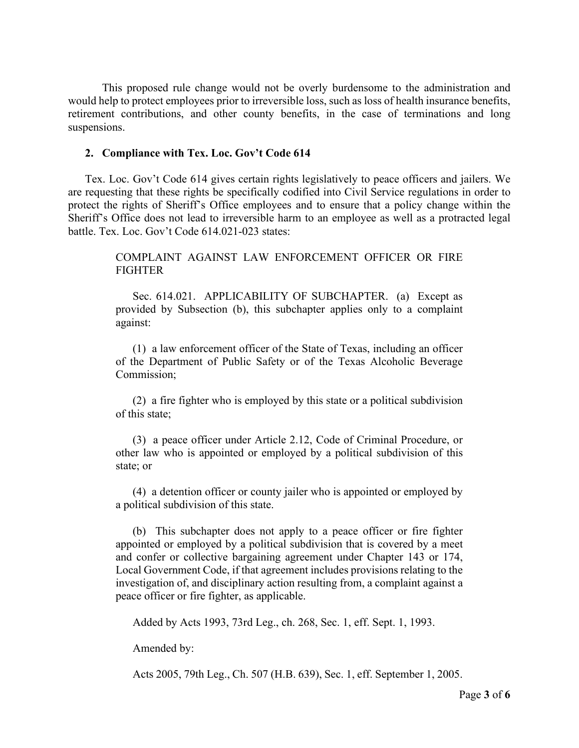This proposed rule change would not be overly burdensome to the administration and would help to protect employees prior to irreversible loss, such as loss of health insurance benefits, retirement contributions, and other county benefits, in the case of terminations and long suspensions.

#### **2. Compliance with Tex. Loc. Gov't Code 614**

Tex. Loc. Gov't Code 614 gives certain rights legislatively to peace officers and jailers. We are requesting that these rights be specifically codified into Civil Service regulations in order to protect the rights of Sheriff's Office employees and to ensure that a policy change within the Sheriff's Office does not lead to irreversible harm to an employee as well as a protracted legal battle. Tex. Loc. Gov't Code 614.021-023 states:

> COMPLAINT AGAINST LAW ENFORCEMENT OFFICER OR FIRE FIGHTER

> Sec. 614.021. APPLICABILITY OF SUBCHAPTER. (a) Except as provided by Subsection (b), this subchapter applies only to a complaint against:

> (1) a law enforcement officer of the State of Texas, including an officer of the Department of Public Safety or of the Texas Alcoholic Beverage Commission;

> (2) a fire fighter who is employed by this state or a political subdivision of this state;

> (3) a peace officer under Article 2.12, Code of Criminal Procedure, or other law who is appointed or employed by a political subdivision of this state; or

> (4) a detention officer or county jailer who is appointed or employed by a political subdivision of this state.

> (b) This subchapter does not apply to a peace officer or fire fighter appointed or employed by a political subdivision that is covered by a meet and confer or collective bargaining agreement under Chapter 143 or 174, Local Government Code, if that agreement includes provisions relating to the investigation of, and disciplinary action resulting from, a complaint against a peace officer or fire fighter, as applicable.

Added by Acts 1993, 73rd Leg., ch. 268, Sec. 1, eff. Sept. 1, 1993.

Amended by:

Acts 2005, 79th Leg., Ch. 507 (H.B. 639), Sec. 1, eff. September 1, 2005.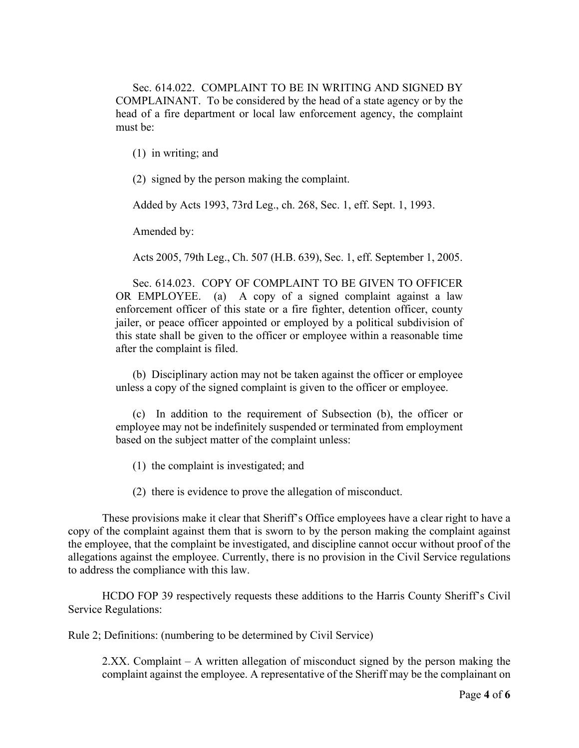Sec. 614.022. COMPLAINT TO BE IN WRITING AND SIGNED BY COMPLAINANT. To be considered by the head of a state agency or by the head of a fire department or local law enforcement agency, the complaint must be:

(1) in writing; and

(2) signed by the person making the complaint.

Added by Acts 1993, 73rd Leg., ch. 268, Sec. 1, eff. Sept. 1, 1993.

Amended by:

Acts 2005, 79th Leg., Ch. 507 (H.B. 639), Sec. 1, eff. September 1, 2005.

Sec. 614.023. COPY OF COMPLAINT TO BE GIVEN TO OFFICER OR EMPLOYEE. (a) A copy of a signed complaint against a law enforcement officer of this state or a fire fighter, detention officer, county jailer, or peace officer appointed or employed by a political subdivision of this state shall be given to the officer or employee within a reasonable time after the complaint is filed.

(b) Disciplinary action may not be taken against the officer or employee unless a copy of the signed complaint is given to the officer or employee.

(c) In addition to the requirement of Subsection (b), the officer or employee may not be indefinitely suspended or terminated from employment based on the subject matter of the complaint unless:

(1) the complaint is investigated; and

(2) there is evidence to prove the allegation of misconduct.

These provisions make it clear that Sheriff's Office employees have a clear right to have a copy of the complaint against them that is sworn to by the person making the complaint against the employee, that the complaint be investigated, and discipline cannot occur without proof of the allegations against the employee. Currently, there is no provision in the Civil Service regulations to address the compliance with this law.

HCDO FOP 39 respectively requests these additions to the Harris County Sheriff's Civil Service Regulations:

Rule 2; Definitions: (numbering to be determined by Civil Service)

2.XX. Complaint – A written allegation of misconduct signed by the person making the complaint against the employee. A representative of the Sheriff may be the complainant on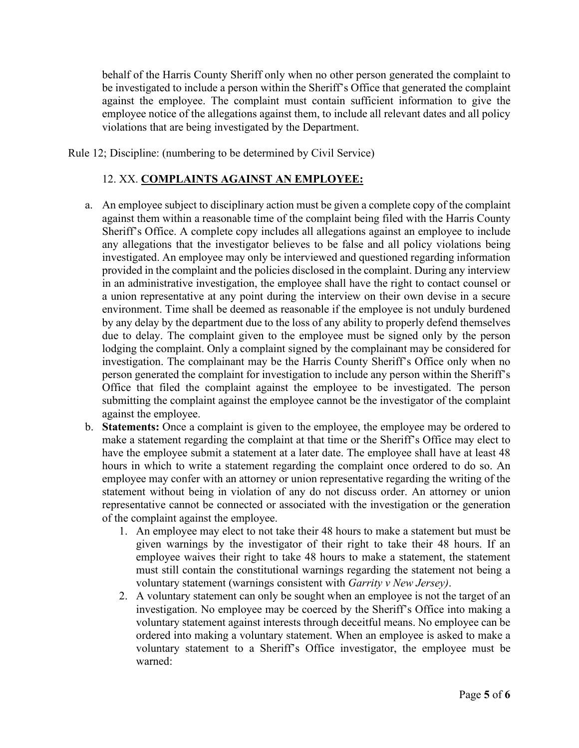behalf of the Harris County Sheriff only when no other person generated the complaint to be investigated to include a person within the Sheriff's Office that generated the complaint against the employee. The complaint must contain sufficient information to give the employee notice of the allegations against them, to include all relevant dates and all policy violations that are being investigated by the Department.

Rule 12; Discipline: (numbering to be determined by Civil Service)

#### 12. XX. **COMPLAINTS AGAINST AN EMPLOYEE:**

- a. An employee subject to disciplinary action must be given a complete copy of the complaint against them within a reasonable time of the complaint being filed with the Harris County Sheriff's Office. A complete copy includes all allegations against an employee to include any allegations that the investigator believes to be false and all policy violations being investigated. An employee may only be interviewed and questioned regarding information provided in the complaint and the policies disclosed in the complaint. During any interview in an administrative investigation, the employee shall have the right to contact counsel or a union representative at any point during the interview on their own devise in a secure environment. Time shall be deemed as reasonable if the employee is not unduly burdened by any delay by the department due to the loss of any ability to properly defend themselves due to delay. The complaint given to the employee must be signed only by the person lodging the complaint. Only a complaint signed by the complainant may be considered for investigation. The complainant may be the Harris County Sheriff's Office only when no person generated the complaint for investigation to include any person within the Sheriff's Office that filed the complaint against the employee to be investigated. The person submitting the complaint against the employee cannot be the investigator of the complaint against the employee.
- b. **Statements:** Once a complaint is given to the employee, the employee may be ordered to make a statement regarding the complaint at that time or the Sheriff's Office may elect to have the employee submit a statement at a later date. The employee shall have at least 48 hours in which to write a statement regarding the complaint once ordered to do so. An employee may confer with an attorney or union representative regarding the writing of the statement without being in violation of any do not discuss order. An attorney or union representative cannot be connected or associated with the investigation or the generation of the complaint against the employee.
	- 1. An employee may elect to not take their 48 hours to make a statement but must be given warnings by the investigator of their right to take their 48 hours. If an employee waives their right to take 48 hours to make a statement, the statement must still contain the constitutional warnings regarding the statement not being a voluntary statement (warnings consistent with *Garrity v New Jersey)*.
	- 2. A voluntary statement can only be sought when an employee is not the target of an investigation. No employee may be coerced by the Sheriff's Office into making a voluntary statement against interests through deceitful means. No employee can be ordered into making a voluntary statement. When an employee is asked to make a voluntary statement to a Sheriff's Office investigator, the employee must be warned: